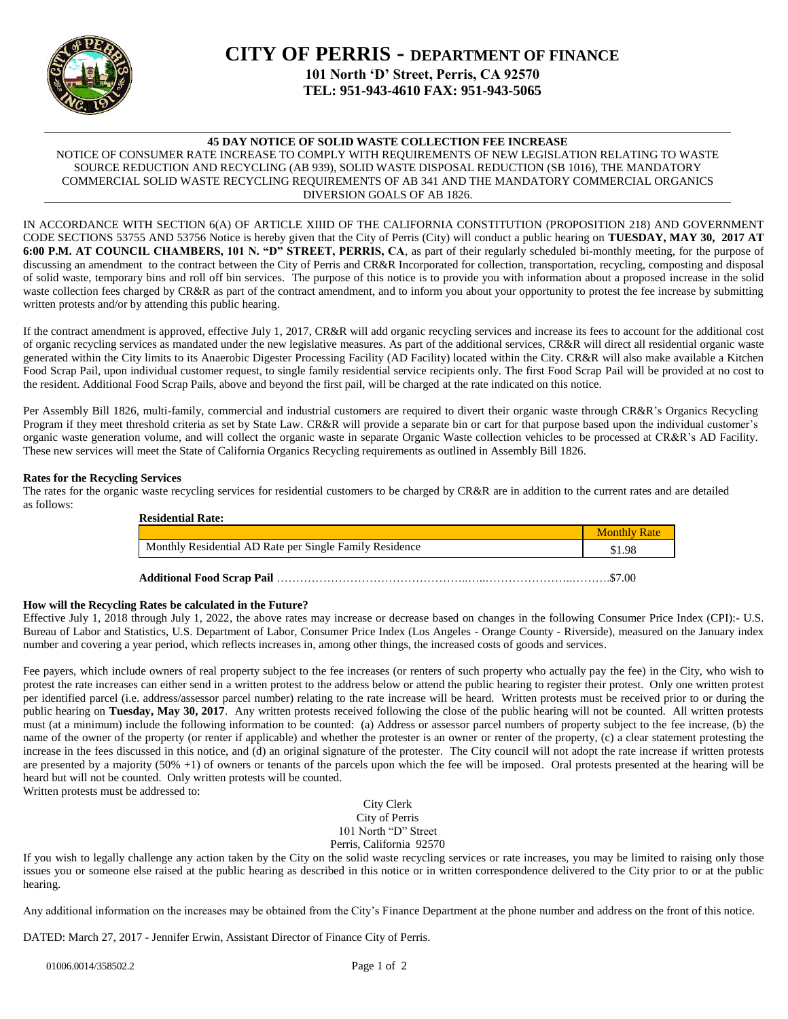

# **CITY OF PERRIS - DEPARTMENT OF FINANCE 101 North 'D' Street, Perris, CA 92570 TEL: 951-943-4610 FAX: 951-943-5065**

# **45 DAY NOTICE OF SOLID WASTE COLLECTION FEE INCREASE**

NOTICE OF CONSUMER RATE INCREASE TO COMPLY WITH REQUIREMENTS OF NEW LEGISLATION RELATING TO WASTE SOURCE REDUCTION AND RECYCLING (AB 939), SOLID WASTE DISPOSAL REDUCTION (SB 1016), THE MANDATORY COMMERCIAL SOLID WASTE RECYCLING REQUIREMENTS OF AB 341 AND THE MANDATORY COMMERCIAL ORGANICS DIVERSION GOALS OF AB 1826.

IN ACCORDANCE WITH SECTION 6(A) OF ARTICLE XIIID OF THE CALIFORNIA CONSTITUTION (PROPOSITION 218) AND GOVERNMENT CODE SECTIONS 53755 AND 53756 Notice is hereby given that the City of Perris (City) will conduct a public hearing on **TUESDAY, MAY 30, 2017 AT 6:00 P.M. AT COUNCIL CHAMBERS, 101 N. "D" STREET, PERRIS, CA**, as part of their regularly scheduled bi-monthly meeting, for the purpose of discussing an amendment to the contract between the City of Perris and CR&R Incorporated for collection, transportation, recycling, composting and disposal of solid waste, temporary bins and roll off bin services. The purpose of this notice is to provide you with information about a proposed increase in the solid waste collection fees charged by CR&R as part of the contract amendment, and to inform you about your opportunity to protest the fee increase by submitting written protests and/or by attending this public hearing.

If the contract amendment is approved, effective July 1, 2017, CR&R will add organic recycling services and increase its fees to account for the additional cost of organic recycling services as mandated under the new legislative measures. As part of the additional services, CR&R will direct all residential organic waste generated within the City limits to its Anaerobic Digester Processing Facility (AD Facility) located within the City. CR&R will also make available a Kitchen Food Scrap Pail, upon individual customer request, to single family residential service recipients only. The first Food Scrap Pail will be provided at no cost to the resident. Additional Food Scrap Pails, above and beyond the first pail, will be charged at the rate indicated on this notice.

Per Assembly Bill 1826, multi-family, commercial and industrial customers are required to divert their organic waste through CR&R's Organics Recycling Program if they meet threshold criteria as set by State Law. CR&R will provide a separate bin or cart for that purpose based upon the individual customer's organic waste generation volume, and will collect the organic waste in separate Organic Waste collection vehicles to be processed at CR&R's AD Facility. These new services will meet the State of California Organics Recycling requirements as outlined in Assembly Bill 1826.

## **Rates for the Recycling Services**

The rates for the organic waste recycling services for residential customers to be charged by CR&R are in addition to the current rates and are detailed as follows:

| <b>Residential Rate:</b>                                |                     |
|---------------------------------------------------------|---------------------|
|                                                         | <b>Monthly Rate</b> |
| Monthly Residential AD Rate per Single Family Residence | \$1.98              |
|                                                         | \$7.00              |

#### **How will the Recycling Rates be calculated in the Future?**

Effective July 1, 2018 through July 1, 2022, the above rates may increase or decrease based on changes in the following Consumer Price Index (CPI):- U.S. Bureau of Labor and Statistics, U.S. Department of Labor, Consumer Price Index (Los Angeles - Orange County - Riverside), measured on the January index number and covering a year period, which reflects increases in, among other things, the increased costs of goods and services.

Fee payers, which include owners of real property subject to the fee increases (or renters of such property who actually pay the fee) in the City, who wish to protest the rate increases can either send in a written protest to the address below or attend the public hearing to register their protest. Only one written protest per identified parcel (i.e. address/assessor parcel number) relating to the rate increase will be heard. Written protests must be received prior to or during the public hearing on **Tuesday, May 30, 2017**. Any written protests received following the close of the public hearing will not be counted. All written protests must (at a minimum) include the following information to be counted: (a) Address or assessor parcel numbers of property subject to the fee increase, (b) the name of the owner of the property (or renter if applicable) and whether the protester is an owner or renter of the property, (c) a clear statement protesting the increase in the fees discussed in this notice, and (d) an original signature of the protester. The City council will not adopt the rate increase if written protests are presented by a majority  $(50\% +1)$  of owners or tenants of the parcels upon which the fee will be imposed. Oral protests presented at the hearing will be heard but will not be counted. Only written protests will be counted.

Written protests must be addressed to:

City Clerk City of Perris 101 North "D" Street Perris, California 92570

If you wish to legally challenge any action taken by the City on the solid waste recycling services or rate increases, you may be limited to raising only those issues you or someone else raised at the public hearing as described in this notice or in written correspondence delivered to the City prior to or at the public hearing.

Any additional information on the increases may be obtained from the City's Finance Department at the phone number and address on the front of this notice.

DATED: March 27, 2017 - Jennifer Erwin, Assistant Director of Finance City of Perris.